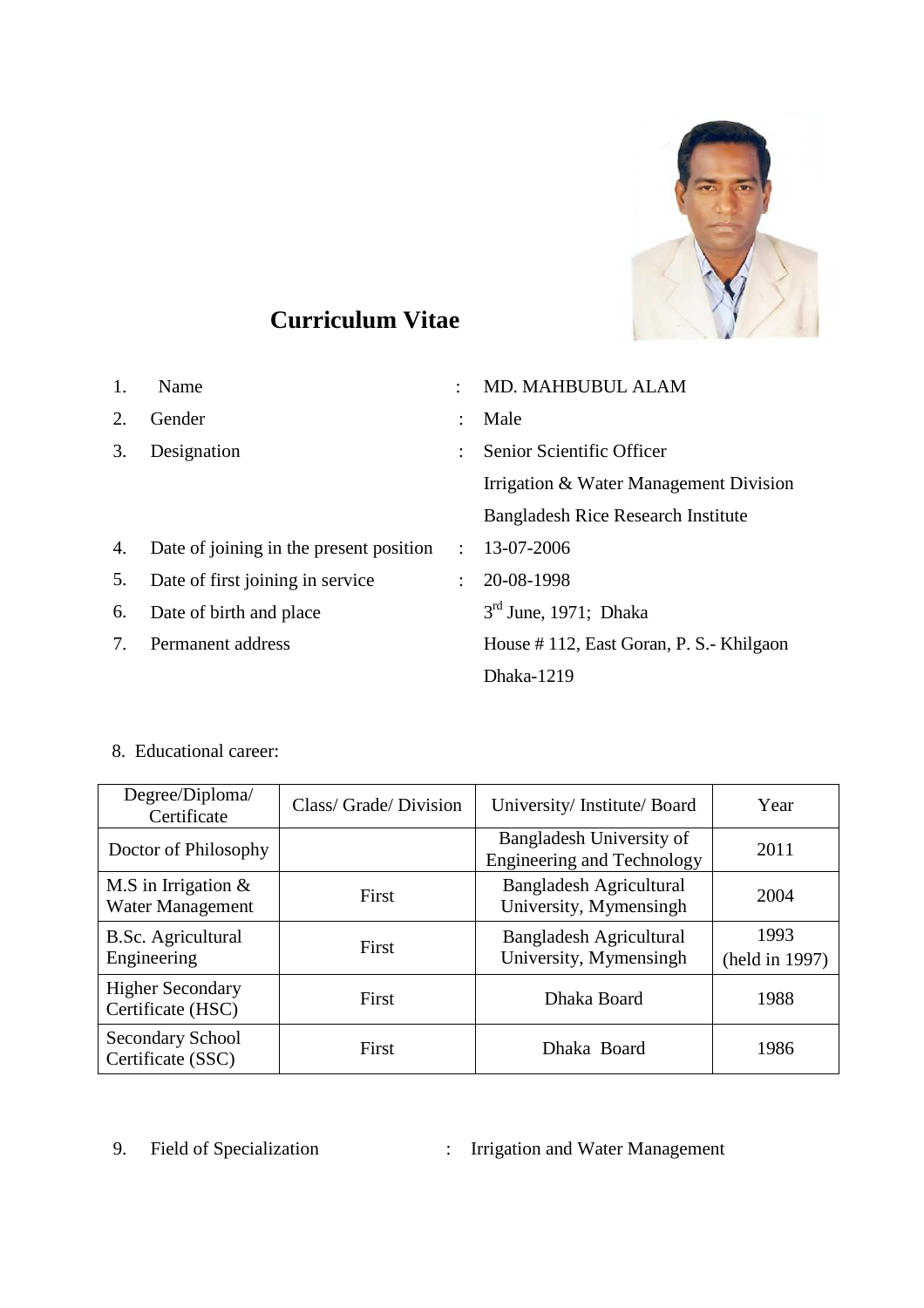

# **Curriculum Vitae**

| 1. | Name                                    |               | <b>MD. MAHBUBUL ALAM</b>                  |
|----|-----------------------------------------|---------------|-------------------------------------------|
| 2. | Gender                                  |               | Male                                      |
| 3. | Designation                             | ÷             | Senior Scientific Officer                 |
|    |                                         |               | Irrigation & Water Management Division    |
|    |                                         |               | <b>Bangladesh Rice Research Institute</b> |
| 4. | Date of joining in the present position | $\mathcal{L}$ | 13-07-2006                                |
| 5. | Date of first joining in service        | $\mathcal{L}$ | 20-08-1998                                |
| 6. | Date of birth and place                 |               | $3rd$ June, 1971; Dhaka                   |
| 7. | Permanent address                       |               | House #112, East Goran, P. S.- Khilgaon   |
|    |                                         |               | Dhaka-1219                                |

8. Educational career:

| Degree/Diploma/<br>Certificate               | Class/ Grade/ Division | University/Institute/Board                                    | Year                   |
|----------------------------------------------|------------------------|---------------------------------------------------------------|------------------------|
| Doctor of Philosophy                         |                        | Bangladesh University of<br><b>Engineering and Technology</b> | 2011                   |
| M.S in Irrigation $&$<br>Water Management    | First                  | <b>Bangladesh Agricultural</b><br>University, Mymensingh      | 2004                   |
| B.Sc. Agricultural<br>Engineering            | <b>First</b>           | <b>Bangladesh Agricultural</b><br>University, Mymensingh      | 1993<br>(held in 1997) |
| <b>Higher Secondary</b><br>Certificate (HSC) | First                  | Dhaka Board                                                   | 1988                   |
| <b>Secondary School</b><br>Certificate (SSC) | First                  | Dhaka Board                                                   | 1986                   |

9. Field of Specialization : Irrigation and Water Management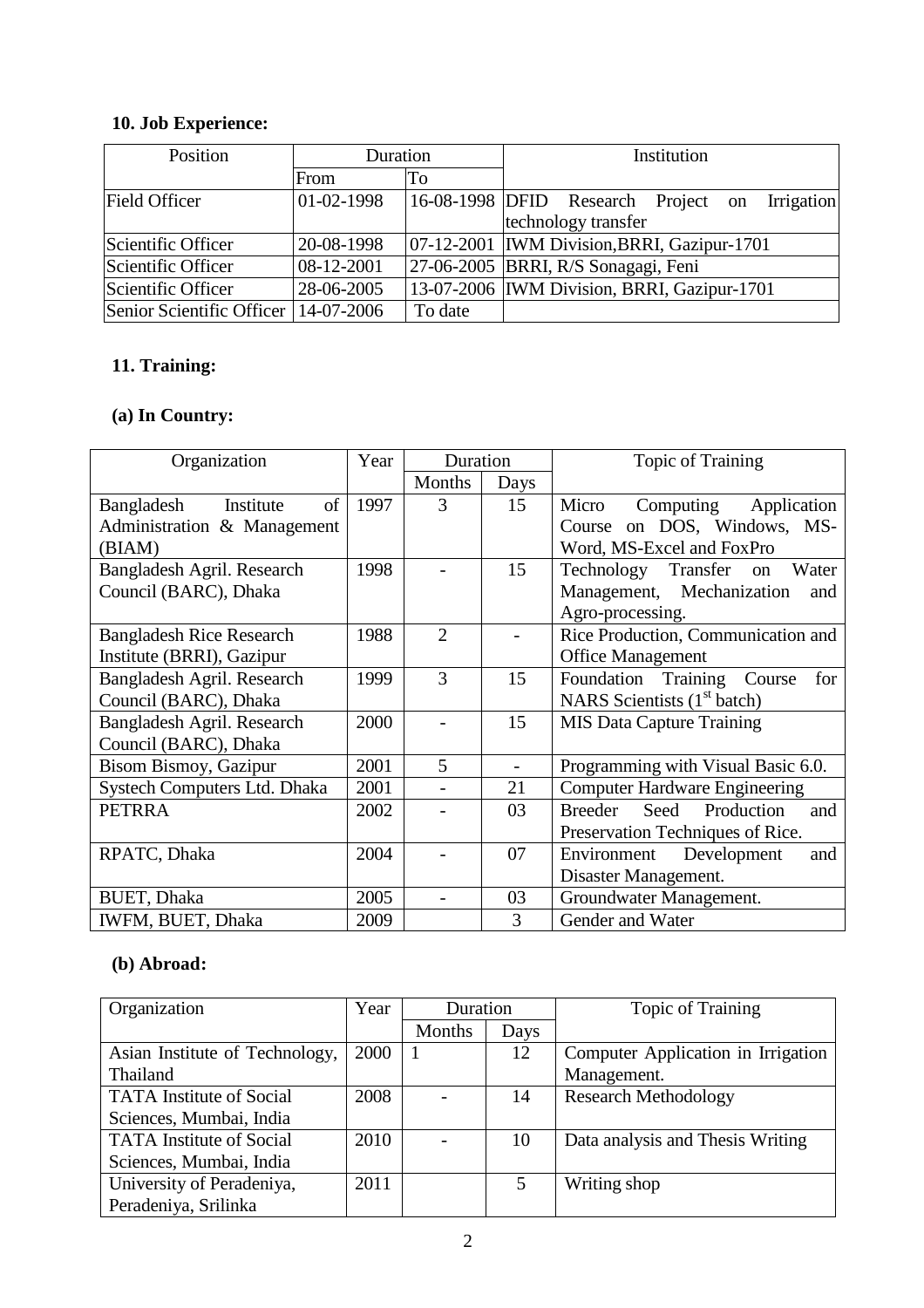## **10. Job Experience:**

| Position                               | Duration   |         | Institution                                    |  |  |
|----------------------------------------|------------|---------|------------------------------------------------|--|--|
|                                        | From       | Tо      |                                                |  |  |
| <b>Field Officer</b>                   | 01-02-1998 |         | 16-08-1998 DFID Research Project on Irrigation |  |  |
|                                        |            |         | technology transfer                            |  |  |
| Scientific Officer                     | 20-08-1998 |         | 07-12-2001   IWM Division, BRRI, Gazipur-1701  |  |  |
| Scientific Officer                     | 08-12-2001 |         | 27-06-2005 BRRI, R/S Sonagagi, Feni            |  |  |
| Scientific Officer                     | 28-06-2005 |         | 13-07-2006   IWM Division, BRRI, Gazipur-1701  |  |  |
| Senior Scientific Officer   14-07-2006 |            | To date |                                                |  |  |

### **11. Training:**

## **(a) In Country:**

| Organization                    | Year | Duration       |      | <b>Topic of Training</b>                    |
|---------------------------------|------|----------------|------|---------------------------------------------|
|                                 |      | Months         | Days |                                             |
| of<br>Bangladesh<br>Institute   | 1997 | 3              | 15   | Computing<br>Application<br>Micro           |
| Administration & Management     |      |                |      | Course on DOS, Windows, MS-                 |
| (BIAM)                          |      |                |      | Word, MS-Excel and FoxPro                   |
| Bangladesh Agril. Research      | 1998 |                | 15   | Technology Transfer<br>Water<br>on          |
| Council (BARC), Dhaka           |      |                |      | Management, Mechanization<br>and            |
|                                 |      |                |      | Agro-processing.                            |
| <b>Bangladesh Rice Research</b> | 1988 | $\overline{2}$ |      | Rice Production, Communication and          |
| Institute (BRRI), Gazipur       |      |                |      | <b>Office Management</b>                    |
| Bangladesh Agril. Research      | 1999 | 3              | 15   | Foundation Training Course<br>for           |
| Council (BARC), Dhaka           |      |                |      | NARS Scientists (1 <sup>st</sup> batch)     |
| Bangladesh Agril. Research      | 2000 |                | 15   | <b>MIS Data Capture Training</b>            |
| Council (BARC), Dhaka           |      |                |      |                                             |
| Bisom Bismoy, Gazipur           | 2001 | 5              |      | Programming with Visual Basic 6.0.          |
| Systech Computers Ltd. Dhaka    | 2001 |                | 21   | <b>Computer Hardware Engineering</b>        |
| <b>PETRRA</b>                   | 2002 |                | 03   | Production<br><b>Breeder</b><br>Seed<br>and |
|                                 |      |                |      | Preservation Techniques of Rice.            |
| RPATC, Dhaka                    | 2004 |                | 07   | Development<br>Environment<br>and           |
|                                 |      |                |      | Disaster Management.                        |
| <b>BUET, Dhaka</b>              | 2005 |                | 03   | Groundwater Management.                     |
| IWFM, BUET, Dhaka               | 2009 |                | 3    | Gender and Water                            |

## **(b)** Abroad:

| Organization                    | Year | Duration |      | Topic of Training                  |
|---------------------------------|------|----------|------|------------------------------------|
|                                 |      | Months   | Days |                                    |
| Asian Institute of Technology,  | 2000 |          | 12   | Computer Application in Irrigation |
| Thailand                        |      |          |      | Management.                        |
| <b>TATA</b> Institute of Social | 2008 |          | 14   | <b>Research Methodology</b>        |
| Sciences, Mumbai, India         |      |          |      |                                    |
| <b>TATA</b> Institute of Social | 2010 |          | 10   | Data analysis and Thesis Writing   |
| Sciences, Mumbai, India         |      |          |      |                                    |
| University of Peradeniya,       | 2011 |          | 5    | Writing shop                       |
| Peradeniya, Srilinka            |      |          |      |                                    |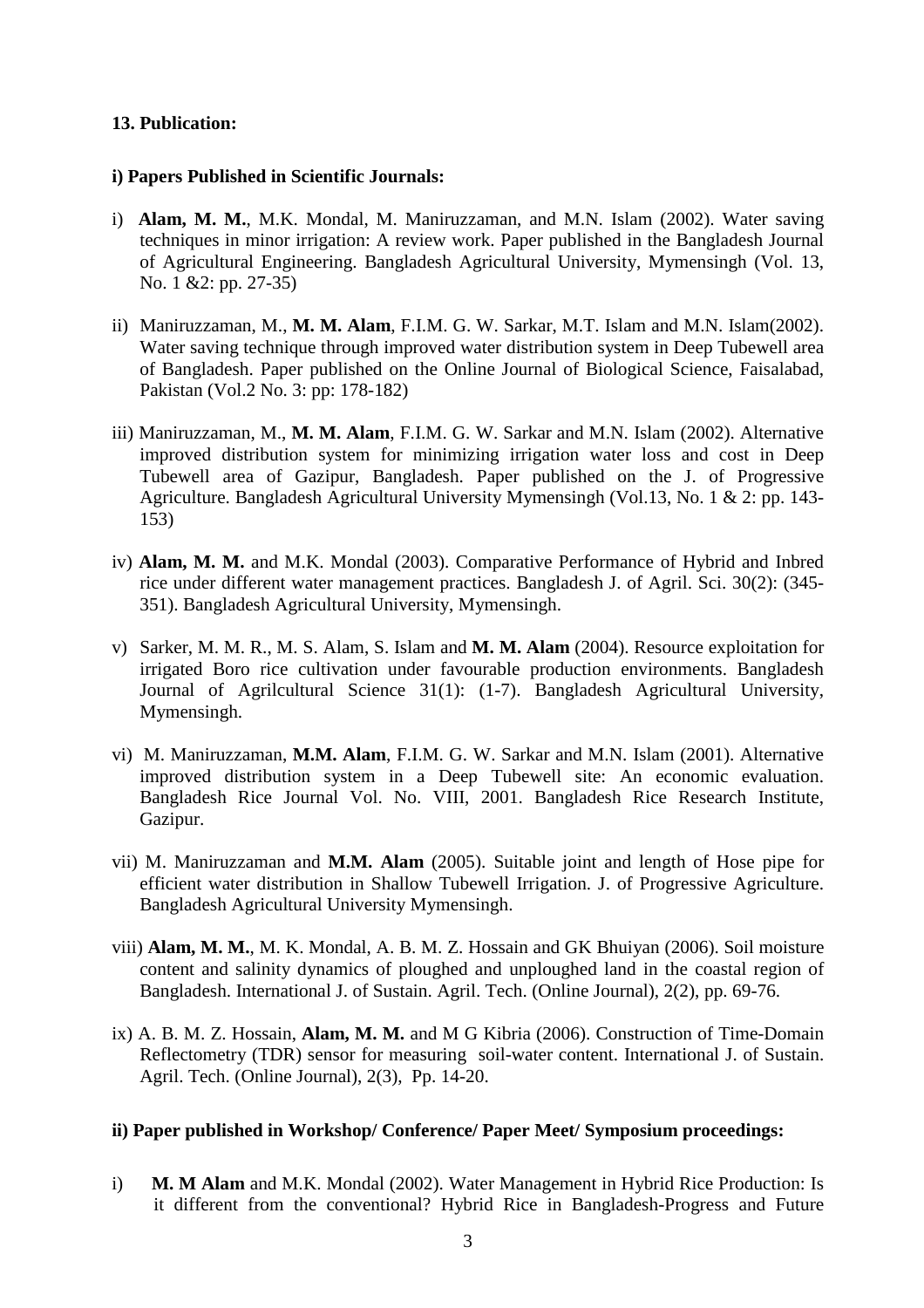#### **13. Publication:**

#### **i) Papers Published in Scientific Journals:**

- i) **Alam, M. M.**, M.K. Mondal, M. Maniruzzaman, and M.N. Islam (2002). Water saving techniques in minor irrigation: A review work. Paper published in the Bangladesh Journal of Agricultural Engineering. Bangladesh Agricultural University, Mymensingh (Vol. 13, No. 1 &2: pp. 27-35)
- ii) Maniruzzaman, M., **M. M. Alam**, F.I.M. G. W. Sarkar, M.T. Islam and M.N. Islam(2002). Water saving technique through improved water distribution system in Deep Tubewell area of Bangladesh. Paper published on the Online Journal of Biological Science, Faisalabad, Pakistan (Vol.2 No. 3: pp: 178-182)
- iii) Maniruzzaman, M., **M. M. Alam**, F.I.M. G. W. Sarkar and M.N. Islam (2002). Alternative improved distribution system for minimizing irrigation water loss and cost in Deep Tubewell area of Gazipur, Bangladesh. Paper published on the J. of Progressive Agriculture. Bangladesh Agricultural University Mymensingh (Vol.13, No. 1 & 2: pp. 143- 153)
- iv) **Alam, M. M.** and M.K. Mondal (2003). Comparative Performance of Hybrid and Inbred rice under different water management practices. Bangladesh J. of Agril. Sci. 30(2): (345- 351). Bangladesh Agricultural University, Mymensingh.
- v) Sarker, M. M. R., M. S. Alam, S. Islam and **M. M. Alam** (2004). Resource exploitation for irrigated Boro rice cultivation under favourable production environments. Bangladesh Journal of Agrilcultural Science 31(1): (1-7). Bangladesh Agricultural University, Mymensingh.
- vi) M. Maniruzzaman, **M.M. Alam**, F.I.M. G. W. Sarkar and M.N. Islam (2001). Alternative improved distribution system in a Deep Tubewell site: An economic evaluation. Bangladesh Rice Journal Vol. No. VIII, 2001. Bangladesh Rice Research Institute, Gazipur.
- vii) M. Maniruzzaman and **M.M. Alam** (2005). Suitable joint and length of Hose pipe for efficient water distribution in Shallow Tubewell Irrigation. J. of Progressive Agriculture. Bangladesh Agricultural University Mymensingh.
- viii) **Alam, M. M.**, M. K. Mondal, A. B. M. Z. Hossain and GK Bhuiyan (2006). Soil moisture content and salinity dynamics of ploughed and unploughed land in the coastal region of Bangladesh. International J. of Sustain. Agril. Tech. (Online Journal), 2(2), pp. 69-76.
- ix) A. B. M. Z. Hossain, **Alam, M. M.** and M G Kibria (2006). Construction of Time-Domain Reflectometry (TDR) sensor for measuring soil-water content. International J. of Sustain. Agril. Tech. (Online Journal), 2(3), Pp. 14-20.

#### **ii) Paper published in Workshop/ Conference/ Paper Meet/ Symposium proceedings:**

i) **M. M Alam** and M.K. Mondal (2002). Water Management in Hybrid Rice Production: Is it different from the conventional? Hybrid Rice in Bangladesh-Progress and Future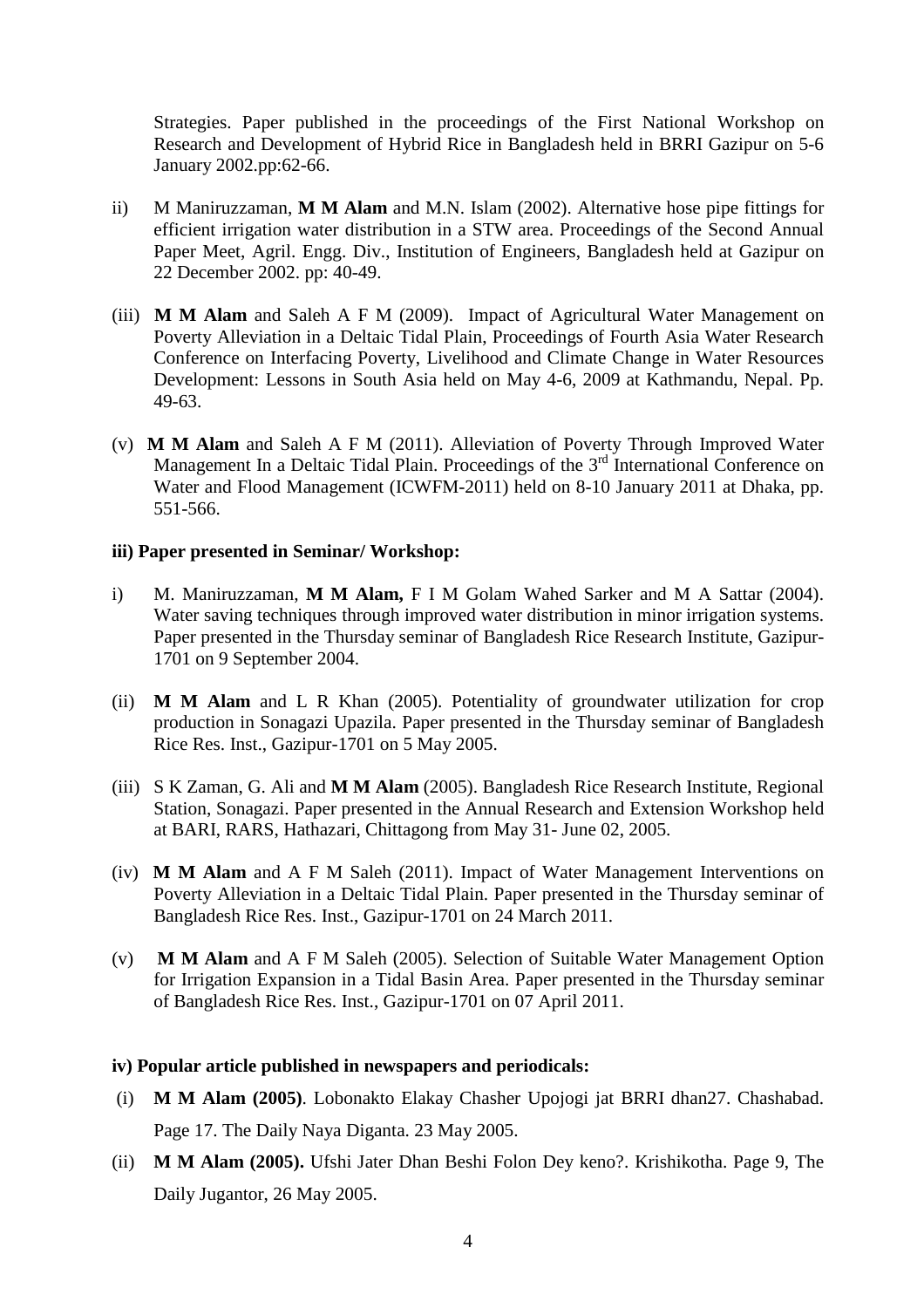Strategies. Paper published in the proceedings of the First National Workshop on Research and Development of Hybrid Rice in Bangladesh held in BRRI Gazipur on 5-6 January 2002.pp:62-66.

- ii) M Maniruzzaman, **M M Alam** and M.N. Islam (2002). Alternative hose pipe fittings for efficient irrigation water distribution in a STW area. Proceedings of the Second Annual Paper Meet, Agril. Engg. Div., Institution of Engineers, Bangladesh held at Gazipur on 22 December 2002. pp: 40-49.
- (iii) **M M Alam** and Saleh A F M (2009). Impact of Agricultural Water Management on Poverty Alleviation in a Deltaic Tidal Plain, Proceedings of Fourth Asia Water Research Conference on Interfacing Poverty, Livelihood and Climate Change in Water Resources Development: Lessons in South Asia held on May 4-6, 2009 at Kathmandu, Nepal. Pp. 49-63.
- (v) **M M Alam** and Saleh A F M (2011). Alleviation of Poverty Through Improved Water Management In a Deltaic Tidal Plain. Proceedings of the  $3<sup>rd</sup>$  International Conference on Water and Flood Management (ICWFM-2011) held on 8-10 January 2011 at Dhaka, pp. 551-566.

#### **iii) Paper presented in Seminar/ Workshop:**

- i) M. Maniruzzaman, **M M Alam,** F I M Golam Wahed Sarker and M A Sattar (2004). Water saving techniques through improved water distribution in minor irrigation systems. Paper presented in the Thursday seminar of Bangladesh Rice Research Institute, Gazipur-1701 on 9 September 2004.
- (ii) **M M Alam** and L R Khan (2005). Potentiality of groundwater utilization for crop production in Sonagazi Upazila. Paper presented in the Thursday seminar of Bangladesh Rice Res. Inst., Gazipur-1701 on 5 May 2005.
- (iii) S K Zaman, G. Ali and **M M Alam** (2005). Bangladesh Rice Research Institute, Regional Station, Sonagazi. Paper presented in the Annual Research and Extension Workshop held at BARI, RARS, Hathazari, Chittagong from May 31- June 02, 2005.
- (iv) **M M Alam** and A F M Saleh (2011). Impact of Water Management Interventions on Poverty Alleviation in a Deltaic Tidal Plain. Paper presented in the Thursday seminar of Bangladesh Rice Res. Inst., Gazipur-1701 on 24 March 2011.
- (v) **M M Alam** and A F M Saleh (2005). Selection of Suitable Water Management Option for Irrigation Expansion in a Tidal Basin Area. Paper presented in the Thursday seminar of Bangladesh Rice Res. Inst., Gazipur-1701 on 07 April 2011.

#### **iv) Popular article published in newspapers and periodicals:**

- (i) **M M Alam (2005)**. Lobonakto Elakay Chasher Upojogi jat BRRI dhan27. Chashabad. Page 17. The Daily Naya Diganta. 23 May 2005.
- (ii) **M M Alam (2005).** Ufshi Jater Dhan Beshi Folon Dey keno?. Krishikotha. Page 9, The Daily Jugantor, 26 May 2005.